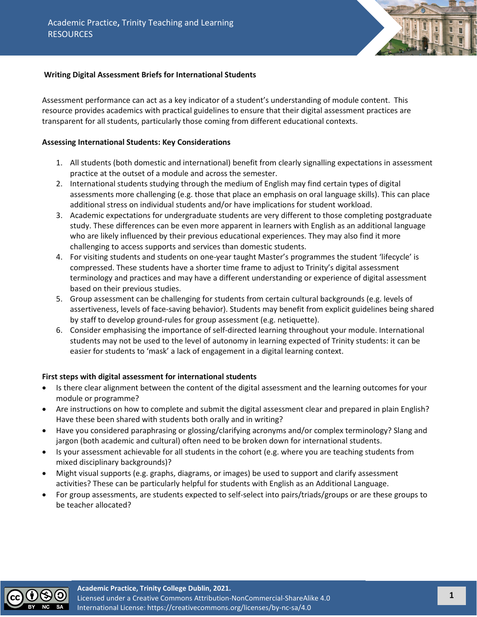

# **Writing Digital Assessment Briefs for International Students**

Assessment performance can act as a key indicator of a student's understanding of module content. This resource provides academics with practical guidelines to ensure that their digital assessment practices are transparent for all students, particularly those coming from different educational contexts.

### **Assessing International Students: Key Considerations**

- 1. All students (both domestic and international) benefit from clearly signalling expectations in assessment practice at the outset of a module and across the semester.
- 2. International students studying through the medium of English may find certain types of digital assessments more challenging (e.g. those that place an emphasis on oral language skills). This can place additional stress on individual students and/or have implications for student workload.
- 3. Academic expectations for undergraduate students are very different to those completing postgraduate study. These differences can be even more apparent in learners with English as an additional language who are likely influenced by their previous educational experiences. They may also find it more challenging to access supports and services than domestic students.
- 4. For visiting students and students on one-year taught Master's programmes the student 'lifecycle' is compressed. These students have a shorter time frame to adjust to Trinity's digital assessment terminology and practices and may have a different understanding or experience of digital assessment based on their previous studies.
- 5. Group assessment can be challenging for students from certain cultural backgrounds (e.g. levels of assertiveness, levels of face-saving behavior). Students may benefit from explicit guidelines being shared by staff to develop ground-rules for group assessment (e.g. netiquette).
- 6. Consider emphasising the importance of self-directed learning throughout your module. International students may not be used to the level of autonomy in learning expected of Trinity students: it can be easier for students to 'mask' a lack of engagement in a digital learning context.

## **First steps with digital assessment for international students**

- Is there clear alignment between the content of the digital assessment and the learning outcomes for your module or programme?
- Are instructions on how to complete and submit the digital assessment clear and prepared in plain English? Have these been shared with students both orally and in writing?
- Have you considered paraphrasing or glossing/clarifying acronyms and/or complex terminology? Slang and jargon (both academic and cultural) often need to be broken down for international students.
- Is your assessment achievable for all students in the cohort (e.g. where you are teaching students from mixed disciplinary backgrounds)?
- Might visual supports (e.g. graphs, diagrams, or images) be used to support and clarify assessment activities? These can be particularly helpful for students with English as an Additional Language.
- For group assessments, are students expected to self-select into pairs/triads/groups or are these groups to be teacher allocated?